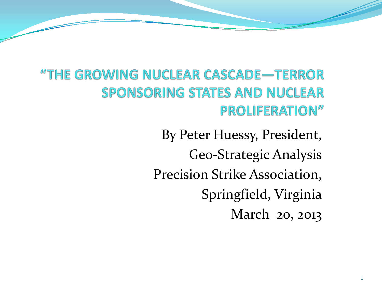"THE GROWING NUCLEAR CASCADE-TERROR **SPONSORING STATES AND NUCLEAR** PROLIFERATION"

> By Peter Huessy, President, Geo-Strategic Analysis Precision Strike Association, Springfield, Virginia March 20, 2013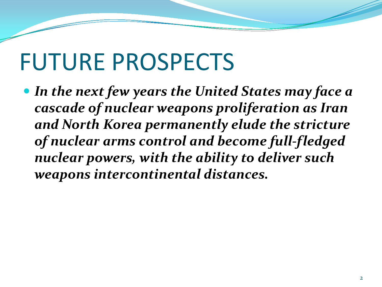#### FUTURE PROSPECTS

 *In the next few years the United States may face a cascade of nuclear weapons proliferation as Iran and North Korea permanently elude the stricture of nuclear arms control and become full-fledged nuclear powers, with the ability to deliver such weapons intercontinental distances.*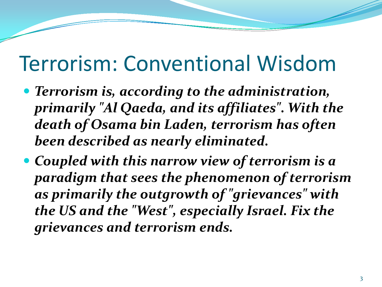#### Terrorism: Conventional Wisdom

- *Terrorism is, according to the administration, primarily "Al Qaeda, and its affiliates". With the death of Osama bin Laden, terrorism has often been described as nearly eliminated.*
- *Coupled with this narrow view of terrorism is a paradigm that sees the phenomenon of terrorism as primarily the outgrowth of "grievances" with the US and the "West", especially Israel. Fix the grievances and terrorism ends.*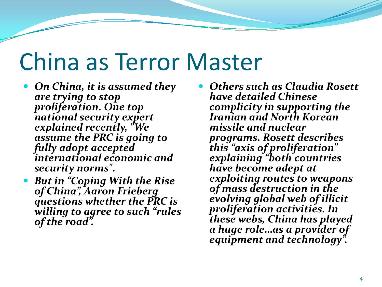#### China as Terror Master

- *On China, it is assumed they are trying to stop proliferation. One top national security expert explained recently, "We assume the PRC is going to fully adopt accepted international economic and security norms".*
- *But in "Coping With the Rise of China", Aaron Frieberg questions whether the PRC is willing to agree to such "rules of the road".*
- *Others such as Claudia Rosett have detailed Chinese complicity in supporting the Iranian and North Korean missile and nuclear programs. Rosett describes this "axis of proliferation" explaining "both countries have become adept at exploiting routes to weapons of mass destruction in the evolving global web of illicit proliferation activities. In these webs, China has played a huge role…as a provider of equipment and technology".*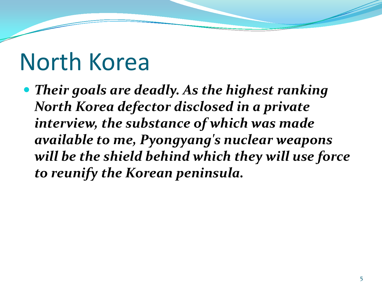#### North Korea

 *Their goals are deadly. As the highest ranking North Korea defector disclosed in a private interview, the substance of which was made available to me, Pyongyang's nuclear weapons will be the shield behind which they will use force to reunify the Korean peninsula.*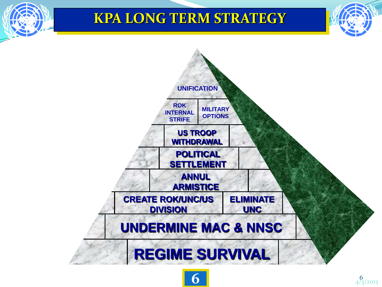#### **KPA LONG TERM STRATEGY**



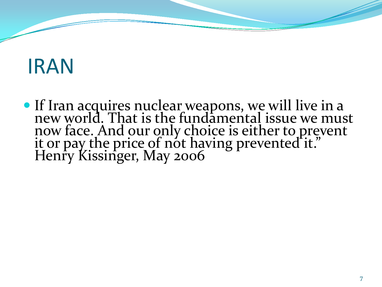#### IRAN

 If Iran acquires nuclear weapons, we will live in a new world. That is the fundamental issue we must now face. And our only choice is either to prevent it or pay the price of not having prevented it." Henry Kissinger, May 2006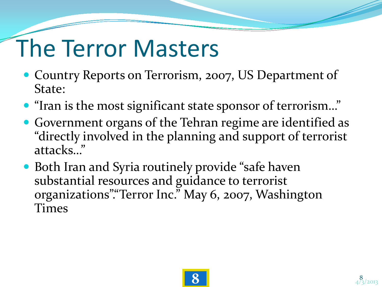# The Terror Masters

- Country Reports on Terrorism, 2007, US Department of State:
- "Iran is the most significant state sponsor of terrorism…"
- Government organs of the Tehran regime are identified as "directly involved in the planning and support of terrorist attacks…"
- Both Iran and Syria routinely provide "safe haven substantial resources and guidance to terrorist organizations"."Terror Inc." May 6, 2007, Washington Times

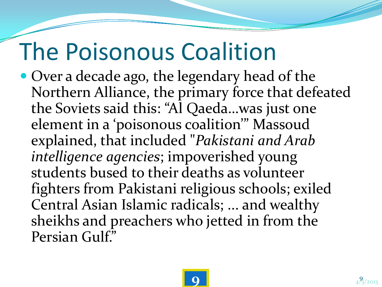### The Poisonous Coalition

• Over a decade ago, the legendary head of the Northern Alliance, the primary force that defeated the Soviets said this: "Al Qaeda…was just one element in a 'poisonous coalition'" Massoud explained, that included "*Pakistani and Arab intelligence agencies*; impoverished young students bused to their deaths as volunteer fighters from Pakistani religious schools; exiled Central Asian Islamic radicals; ... and wealthy sheikhs and preachers who jetted in from the Persian Gulf."

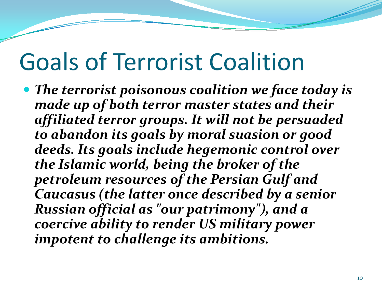#### Goals of Terrorist Coalition

 *The terrorist poisonous coalition we face today is made up of both terror master states and their affiliated terror groups. It will not be persuaded to abandon its goals by moral suasion or good deeds. Its goals include hegemonic control over the Islamic world, being the broker of the petroleum resources of the Persian Gulf and Caucasus (the latter once described by a senior Russian official as "our patrimony"), and a coercive ability to render US military power impotent to challenge its ambitions.*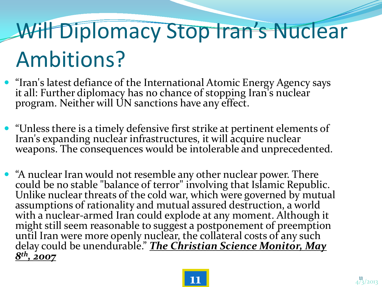# Will Diplomacy Stop Iran's Nuclear Ambitions?

- "Iran's latest defiance of the International Atomic Energy Agency says it all: Further diplomacy has no chance of stopping Iran's nuclear program. Neither will UN sanctions have any effect.
- "Unless there is a timely defensive first strike at pertinent elements of Iran's expanding nuclear infrastructures, it will acquire nuclear weapons. The consequences would be intolerable and unprecedented.
- "A nuclear Iran would not resemble any other nuclear power. There could be no stable "balance of terror" involving that Islamic Republic. Unlike nuclear threats of the cold war, which were governed by mutual assumptions of rationality and mutual assured destruction, a world with a nuclear-armed Iran could explode at any moment. Although it<br>might still seem reasonable to suggest a postponement of preemption until Iran were more openly nuclear, the collateral costs of any such delay could be unendurable." *The Christian Science Monitor, May 8th, 2007*

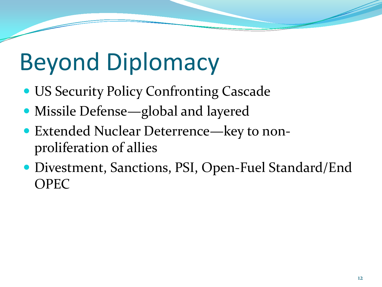# Beyond Diplomacy

- US Security Policy Confronting Cascade
- Missile Defense—global and layered
- Extended Nuclear Deterrence—key to nonproliferation of allies
- Divestment, Sanctions, PSI, Open-Fuel Standard/End OPEC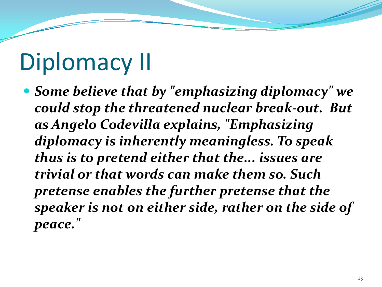## Diplomacy II

 *Some believe that by "emphasizing diplomacy" we could stop the threatened nuclear break-out. But as Angelo Codevilla explains, "Emphasizing diplomacy is inherently meaningless. To speak thus is to pretend either that the... issues are trivial or that words can make them so. Such pretense enables the further pretense that the speaker is not on either side, rather on the side of peace."*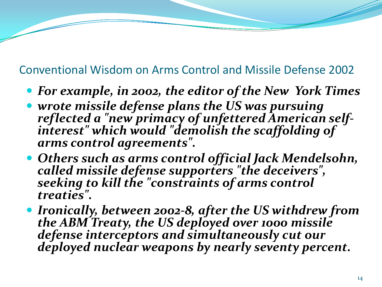#### Conventional Wisdom on Arms Control and Missile Defense 2002

- *For example, in 2002, the editor of the New York Times*
- *wrote missile defense plans the US was pursuing reflected a "new primacy of unfettered American self- interest" which would "demolish the scaffolding of arms control agreements".*
- *Others such as arms control official Jack Mendelsohn, called missile defense supporters "the deceivers", seeking to kill the "constraints of arms control treaties".*
- *Ironically, between 2002-8, after the US withdrew from the ABM Treaty, the US deployed over 1000 missile defense interceptors and simultaneously cut our deployed nuclear weapons by nearly seventy percent.*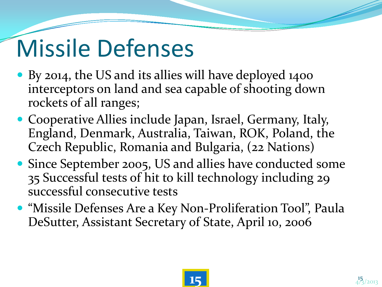# Missile Defenses

- By 2014, the US and its allies will have deployed 1400 interceptors on land and sea capable of shooting down rockets of all ranges;
- Cooperative Allies include Japan, Israel, Germany, Italy, England, Denmark, Australia, Taiwan, ROK, Poland, the Czech Republic, Romania and Bulgaria, (22 Nations)
- Since September 2005, US and allies have conducted some 35 Successful tests of hit to kill technology including 29 successful consecutive tests
- "Missile Defenses Are a Key Non-Proliferation Tool", Paula DeSutter, Assistant Secretary of State, April 10, 2006

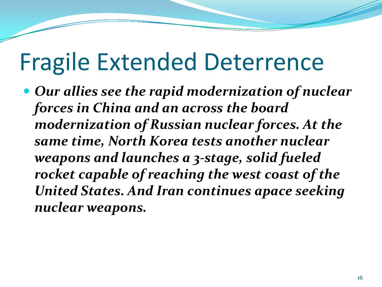#### Fragile Extended Deterrence

 *Our allies see the rapid modernization of nuclear forces in China and an across the board modernization of Russian nuclear forces. At the same time, North Korea tests another nuclear weapons and launches a 3-stage, solid fueled rocket capable of reaching the west coast of the United States. And Iran continues apace seeking nuclear weapons.*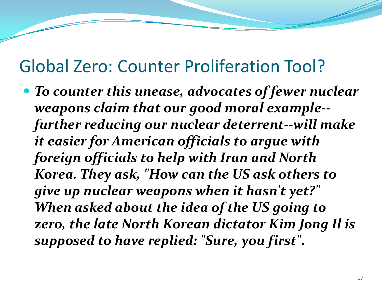#### Global Zero: Counter Proliferation Tool?

 *To counter this unease, advocates of fewer nuclear weapons claim that our good moral example- further reducing our nuclear deterrent--will make it easier for American officials to argue with foreign officials to help with Iran and North Korea. They ask, "How can the US ask others to give up nuclear weapons when it hasn't yet?" When asked about the idea of the US going to zero, the late North Korean dictator Kim Jong Il is supposed to have replied: "Sure, you first".*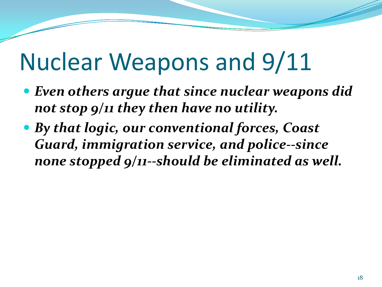### Nuclear Weapons and 9/11

- *Even others argue that since nuclear weapons did not stop 9/11 they then have no utility.*
- *By that logic, our conventional forces, Coast Guard, immigration service, and police--since none stopped 9/11--should be eliminated as well.*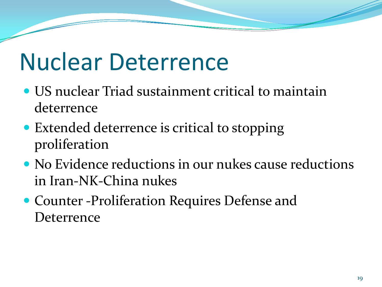#### Nuclear Deterrence

- US nuclear Triad sustainment critical to maintain deterrence
- Extended deterrence is critical to stopping proliferation
- No Evidence reductions in our nukes cause reductions in Iran-NK-China nukes
- Counter -Proliferation Requires Defense and **Deterrence**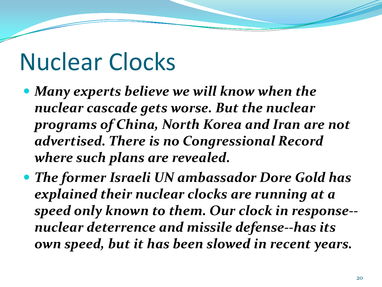#### Nuclear Clocks

- *Many experts believe we will know when the nuclear cascade gets worse. But the nuclear programs of China, North Korea and Iran are not advertised. There is no Congressional Record where such plans are revealed.*
- *The former Israeli UN ambassador Dore Gold has explained their nuclear clocks are running at a speed only known to them. Our clock in response- nuclear deterrence and missile defense--has its own speed, but it has been slowed in recent years.*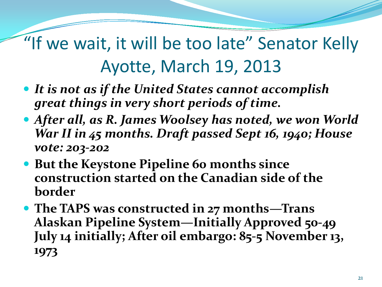"If we wait, it will be too late" Senator Kelly Ayotte, March 19, 2013

- *It is not as if the United States cannot accomplish great things in very short periods of time.*
- *After all, as R. James Woolsey has noted, we won World War II in 45 months. Draft passed Sept 16, 1940; House vote: 203-202*
- **But the Keystone Pipeline 60 months since construction started on the Canadian side of the border**
- **The TAPS was constructed in 27 months—Trans Alaskan Pipeline System—Initially Approved 50-49 July 14 initially; After oil embargo: 85-5 November 13, 1973**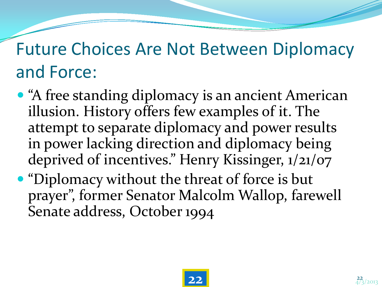#### Future Choices Are Not Between Diplomacy and Force:

- "A free standing diplomacy is an ancient American illusion. History offers few examples of it. The attempt to separate diplomacy and power results in power lacking direction and diplomacy being deprived of incentives." Henry Kissinger, 1/21/07
- "Diplomacy without the threat of force is but prayer", former Senator Malcolm Wallop, farewell Senate address, October 1994

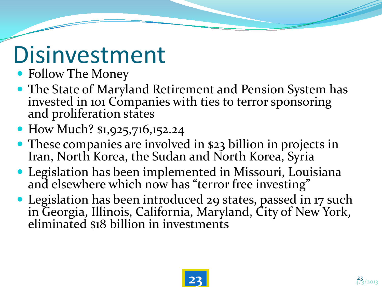#### Disinvestment

- Follow The Money
- The State of Maryland Retirement and Pension System has invested in 101 Companies with ties to terror sponsoring and proliferation states
- How Much? \$1,925,716,152.24
- These companies are involved in \$23 billion in projects in Iran, North Korea, the Sudan and North Korea, Syria
- Legislation has been implemented in Missouri, Louisiana and elsewhere which now has "terror free investing"
- Legislation has been introduced 29 states, passed in 17 such in Georgia, Illinois, California, Maryland, City of New York, eliminated \$18 billion in investments

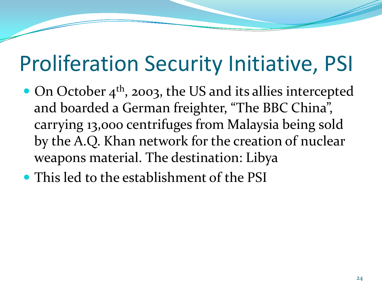#### Proliferation Security Initiative, PSI

- $\bullet$  On October 4<sup>th</sup>, 2003, the US and its allies intercepted and boarded a German freighter, "The BBC China", carrying 13,000 centrifuges from Malaysia being sold by the A.Q. Khan network for the creation of nuclear weapons material. The destination: Libya
- This led to the establishment of the PSI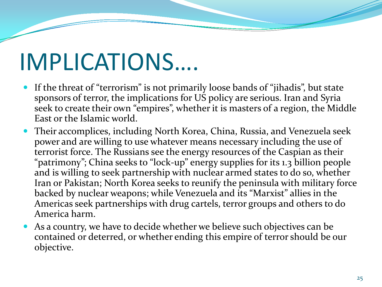### IMPLICATIONS….

- If the threat of "terrorism" is not primarily loose bands of "jihadis", but state sponsors of terror, the implications for US policy are serious. Iran and Syria seek to create their own "empires", whether it is masters of a region, the Middle East or the Islamic world.
- Their accomplices, including North Korea, China, Russia, and Venezuela seek power and are willing to use whatever means necessary including the use of terrorist force. The Russians see the energy resources of the Caspian as their "patrimony"; China seeks to "lock-up" energy supplies for its 1.3 billion people and is willing to seek partnership with nuclear armed states to do so, whether Iran or Pakistan; North Korea seeks to reunify the peninsula with military force backed by nuclear weapons; while Venezuela and its "Marxist" allies in the Americas seek partnerships with drug cartels, terror groups and others to do America harm.
- As a country, we have to decide whether we believe such objectives can be contained or deterred, or whether ending this empire of terror should be our objective.